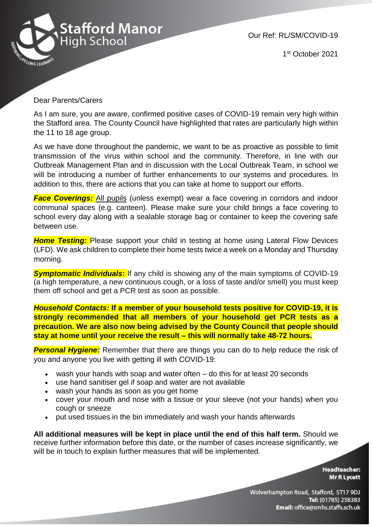

1 st October 2021

## Dear Parents/Carers

As I am sure, you are aware, confirmed positive cases of COVID-19 remain very high within the Stafford area. The County Council have highlighted that rates are particularly high within the 11 to 18 age group.

As we have done throughout the pandemic, we want to be as proactive as possible to limit transmission of the virus within school and the community. Therefore, in line with our Outbreak Management Plan and in discussion with the Local Outbreak Team, in school we will be introducing a number of further enhancements to our systems and procedures. In addition to this, there are actions that you can take at home to support our efforts.

**Face Coverings:** All pupils (unless exempt) wear a face covering in corridors and indoor communal spaces (e.g. canteen). Please make sure your child brings a face covering to school every day along with a sealable storage bag or container to keep the covering safe between use.

**Home Testing:** Please support your child in testing at home using Lateral Flow Devices (LFD). We ask children to complete their home tests twice a week on a Monday and Thursday morning.

*Symptomatic Individuals***:** If any child is showing any of the main symptoms of COVID-19 (a high temperature, a new continuous cough, or a loss of taste and/or smell) you must keep them off school and get a PCR test as soon as possible.

*Household Contacts:* **If a member of your household tests positive for COVID-19, it is strongly recommended that all members of your household get PCR tests as a precaution. We are also now being advised by the County Council that people should stay at home until your receive the result – this will normally take 48-72 hours.**

**Personal Hygiene:** Remember that there are things you can do to help reduce the risk of you and anyone you live with getting ill with COVID-19:

- wash your hands with soap and water often do this for at least 20 seconds
- use hand sanitiser gel if soap and water are not available
- wash your hands as soon as you get home
- cover your mouth and nose with a tissue or your sleeve (not your hands) when you cough or sneeze
- put used tissues in the bin immediately and wash your hands afterwards

**All additional measures will be kept in place until the end of this half term.** Should we receive further information before this date, or the number of cases increase significantly, we will be in touch to explain further measures that will be implemented.

> **Headteacher: Mr R Lycett**

Wolverhampton Road, Stafford, ST17 9DJ Tel: (01785) 258383 Email: office@smhs.staffs.sch.uk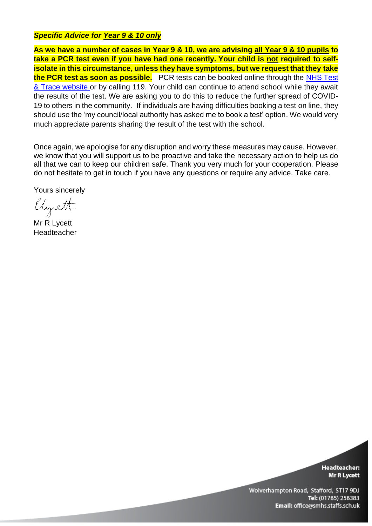## *Specific Advice for Year 9 & 10 only*

**As we have a number of cases in Year 9 & 10, we are advising all Year 9 & 10 pupils to take a PCR test even if you have had one recently. Your child is not required to selfisolate in this circumstance, unless they have symptoms, but we request that they take the PCR test as soon as possible.** PCR tests can be booked online through the [NHS Test](https://www.nhs.uk/conditions/coronavirus-covid-19/testing/)  [& Trace website](https://www.nhs.uk/conditions/coronavirus-covid-19/testing/) or by calling 119. Your child can continue to attend school while they await the results of the test. We are asking you to do this to reduce the further spread of COVID-19 to others in the community. If individuals are having difficulties booking a test on line, they should use the 'my council/local authority has asked me to book a test' option. We would very much appreciate parents sharing the result of the test with the school.

Once again, we apologise for any disruption and worry these measures may cause. However, we know that you will support us to be proactive and take the necessary action to help us do all that we can to keep our children safe. Thank you very much for your cooperation. Please do not hesitate to get in touch if you have any questions or require any advice. Take care.

Yours sincerely

llysett.

Mr R Lycett Headteacher

**Headteacher: Mr R Lycett** 

Wolverhampton Road, Stafford, ST17 9DJ Tel: (01785) 258383 Email: office@smhs.staffs.sch.uk